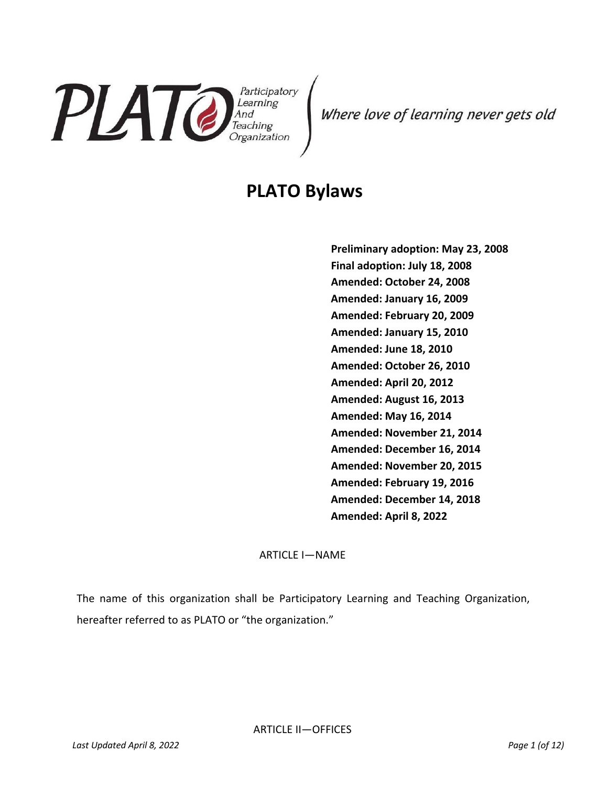

Where love of learning never gets old

# **PLATO Bylaws**

**Preliminary adoption: May 23, 2008 Final adoption: July 18, 2008 Amended: October 24, 2008 Amended: January 16, 2009 Amended: February 20, 2009 Amended: January 15, 2010 Amended: June 18, 2010 Amended: October 26, 2010 Amended: April 20, 2012 Amended: August 16, 2013 Amended: May 16, 2014 Amended: November 21, 2014 Amended: December 16, 2014 Amended: November 20, 2015 Amended: February 19, 2016 Amended: December 14, 2018 Amended: April 8, 2022**

ARTICLE I—NAME

The name of this organization shall be Participatory Learning and Teaching Organization, hereafter referred to as PLATO or "the organization."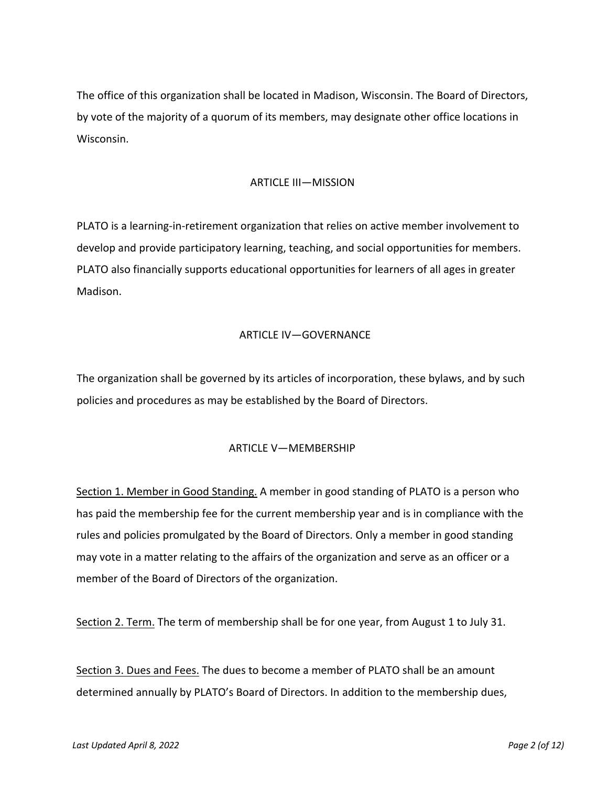The office of this organization shall be located in Madison, Wisconsin. The Board of Directors, by vote of the majority of a quorum of its members, may designate other office locations in Wisconsin.

### ARTICLE III—MISSION

PLATO is a learning-in-retirement organization that relies on active member involvement to develop and provide participatory learning, teaching, and social opportunities for members. PLATO also financially supports educational opportunities for learners of all ages in greater Madison.

#### ARTICLE IV—GOVERNANCE

The organization shall be governed by its articles of incorporation, these bylaws, and by such policies and procedures as may be established by the Board of Directors.

#### ARTICLE V—MEMBERSHIP

Section 1. Member in Good Standing. A member in good standing of PLATO is a person who has paid the membership fee for the current membership year and is in compliance with the rules and policies promulgated by the Board of Directors. Only a member in good standing may vote in a matter relating to the affairs of the organization and serve as an officer or a member of the Board of Directors of the organization.

Section 2. Term. The term of membership shall be for one year, from August 1 to July 31.

Section 3. Dues and Fees. The dues to become a member of PLATO shall be an amount determined annually by PLATO's Board of Directors. In addition to the membership dues,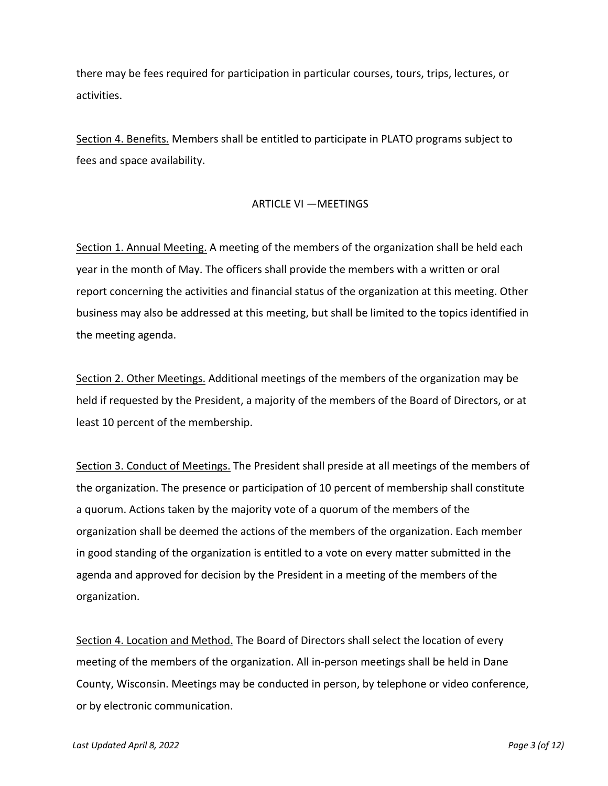there may be fees required for participation in particular courses, tours, trips, lectures, or activities.

Section 4. Benefits. Members shall be entitled to participate in PLATO programs subject to fees and space availability.

#### ARTICLE VI — MEETINGS

Section 1. Annual Meeting. A meeting of the members of the organization shall be held each year in the month of May. The officers shall provide the members with a written or oral report concerning the activities and financial status of the organization at this meeting. Other business may also be addressed at this meeting, but shall be limited to the topics identified in the meeting agenda.

Section 2. Other Meetings. Additional meetings of the members of the organization may be held if requested by the President, a majority of the members of the Board of Directors, or at least 10 percent of the membership.

Section 3. Conduct of Meetings. The President shall preside at all meetings of the members of the organization. The presence or participation of 10 percent of membership shall constitute a quorum. Actions taken by the majority vote of a quorum of the members of the organization shall be deemed the actions of the members of the organization. Each member in good standing of the organization is entitled to a vote on every matter submitted in the agenda and approved for decision by the President in a meeting of the members of the organization.

Section 4. Location and Method. The Board of Directors shall select the location of every meeting of the members of the organization. All in-person meetings shall be held in Dane County, Wisconsin. Meetings may be conducted in person, by telephone or video conference, or by electronic communication.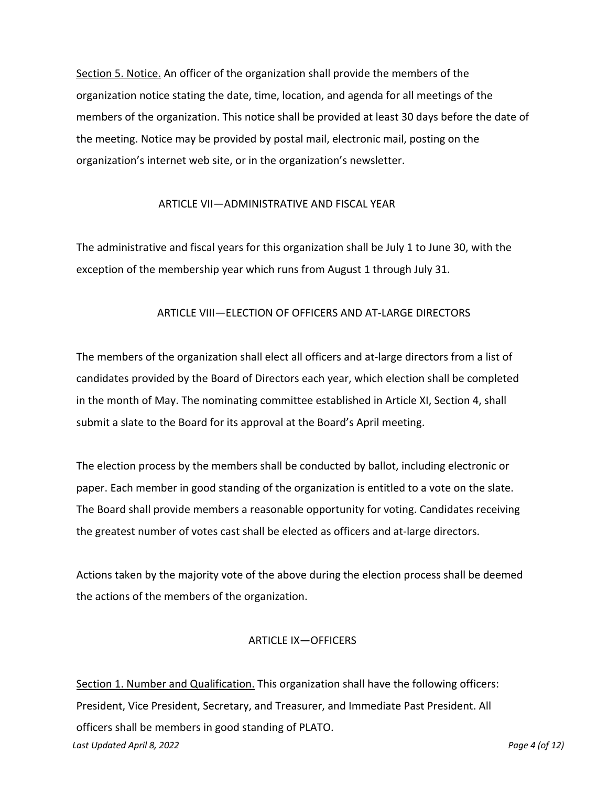Section 5. Notice. An officer of the organization shall provide the members of the organization notice stating the date, time, location, and agenda for all meetings of the members of the organization. This notice shall be provided at least 30 days before the date of the meeting. Notice may be provided by postal mail, electronic mail, posting on the organization's internet web site, or in the organization's newsletter.

#### ARTICLE VII—ADMINISTRATIVE AND FISCAL YEAR

The administrative and fiscal years for this organization shall be July 1 to June 30, with the exception of the membership year which runs from August 1 through July 31.

#### ARTICLE VIII—ELECTION OF OFFICERS AND AT-LARGE DIRECTORS

The members of the organization shall elect all officers and at-large directors from a list of candidates provided by the Board of Directors each year, which election shall be completed in the month of May. The nominating committee established in Article XI, Section 4, shall submit a slate to the Board for its approval at the Board's April meeting.

The election process by the members shall be conducted by ballot, including electronic or paper. Each member in good standing of the organization is entitled to a vote on the slate. The Board shall provide members a reasonable opportunity for voting. Candidates receiving the greatest number of votes cast shall be elected as officers and at-large directors.

Actions taken by the majority vote of the above during the election process shall be deemed the actions of the members of the organization.

#### ARTICLE IX-OFFICERS

*Last Updated April 8, 2022 Page 4 (of 12)* Section 1. Number and Qualification. This organization shall have the following officers: President, Vice President, Secretary, and Treasurer, and Immediate Past President. All officers shall be members in good standing of PLATO.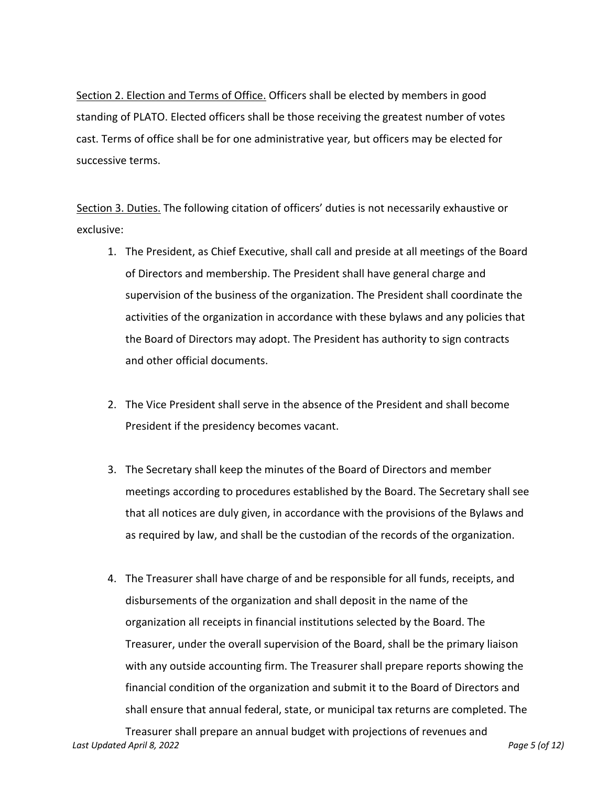Section 2. Election and Terms of Office. Officers shall be elected by members in good standing of PLATO. Elected officers shall be those receiving the greatest number of votes cast. Terms of office shall be for one administrative year*,* but officers may be elected for successive terms.

Section 3. Duties. The following citation of officers' duties is not necessarily exhaustive or exclusive:

- 1. The President, as Chief Executive, shall call and preside at all meetings of the Board of Directors and membership. The President shall have general charge and supervision of the business of the organization. The President shall coordinate the activities of the organization in accordance with these bylaws and any policies that the Board of Directors may adopt. The President has authority to sign contracts and other official documents.
- 2. The Vice President shall serve in the absence of the President and shall become President if the presidency becomes vacant.
- 3. The Secretary shall keep the minutes of the Board of Directors and member meetings according to procedures established by the Board. The Secretary shall see that all notices are duly given, in accordance with the provisions of the Bylaws and as required by law, and shall be the custodian of the records of the organization.
- 4. The Treasurer shall have charge of and be responsible for all funds, receipts, and disbursements of the organization and shall deposit in the name of the organization all receipts in financial institutions selected by the Board. The Treasurer, under the overall supervision of the Board, shall be the primary liaison with any outside accounting firm. The Treasurer shall prepare reports showing the financial condition of the organization and submit it to the Board of Directors and shall ensure that annual federal, state, or municipal tax returns are completed. The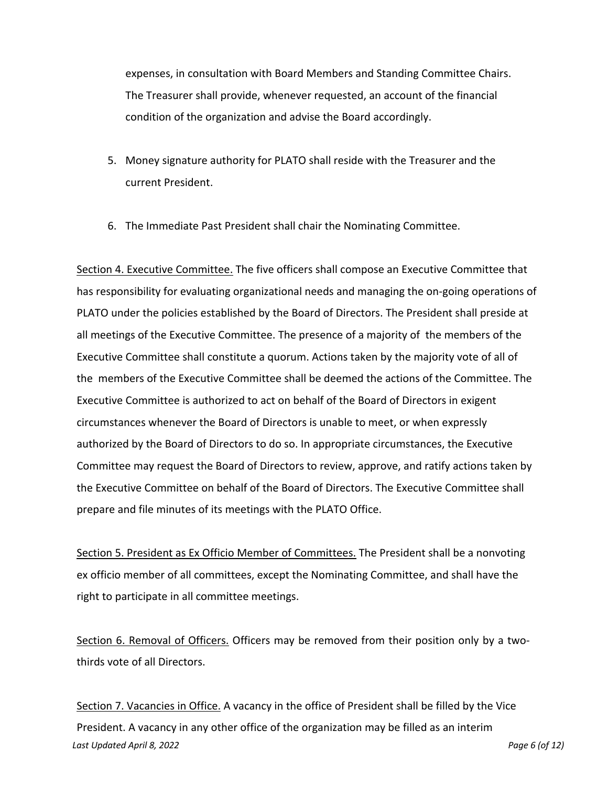expenses, in consultation with Board Members and Standing Committee Chairs. The Treasurer shall provide, whenever requested, an account of the financial condition of the organization and advise the Board accordingly.

- 5. Money signature authority for PLATO shall reside with the Treasurer and the current President.
- 6. The Immediate Past President shall chair the Nominating Committee.

Section 4. Executive Committee. The five officers shall compose an Executive Committee that has responsibility for evaluating organizational needs and managing the on-going operations of PLATO under the policies established by the Board of Directors. The President shall preside at all meetings of the Executive Committee. The presence of a majority of the members of the Executive Committee shall constitute a quorum. Actions taken by the majority vote of all of the members of the Executive Committee shall be deemed the actions of the Committee. The Executive Committee is authorized to act on behalf of the Board of Directors in exigent circumstances whenever the Board of Directors is unable to meet, or when expressly authorized by the Board of Directors to do so. In appropriate circumstances, the Executive Committee may request the Board of Directors to review, approve, and ratify actions taken by the Executive Committee on behalf of the Board of Directors. The Executive Committee shall prepare and file minutes of its meetings with the PLATO Office.

Section 5. President as Ex Officio Member of Committees. The President shall be a nonvoting ex officio member of all committees, except the Nominating Committee, and shall have the right to participate in all committee meetings.

Section 6. Removal of Officers. Officers may be removed from their position only by a twothirds vote of all Directors.

*Last Updated April 8, 2022 Page 6 (of 12)* Section 7. Vacancies in Office. A vacancy in the office of President shall be filled by the Vice President. A vacancy in any other office of the organization may be filled as an interim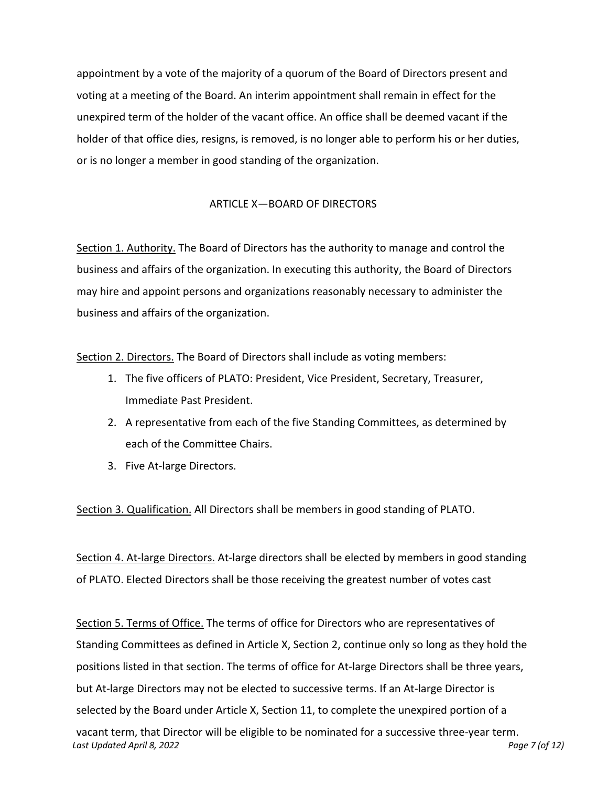appointment by a vote of the majority of a quorum of the Board of Directors present and voting at a meeting of the Board. An interim appointment shall remain in effect for the unexpired term of the holder of the vacant office. An office shall be deemed vacant if the holder of that office dies, resigns, is removed, is no longer able to perform his or her duties, or is no longer a member in good standing of the organization.

# ARTICLE X-BOARD OF DIRECTORS

Section 1. Authority. The Board of Directors has the authority to manage and control the business and affairs of the organization. In executing this authority, the Board of Directors may hire and appoint persons and organizations reasonably necessary to administer the business and affairs of the organization.

Section 2. Directors. The Board of Directors shall include as voting members:

- 1. The five officers of PLATO: President, Vice President, Secretary, Treasurer, Immediate Past President.
- 2. A representative from each of the five Standing Committees, as determined by each of the Committee Chairs.
- 3. Five At-large Directors.

Section 3. Qualification. All Directors shall be members in good standing of PLATO.

Section 4. At-large Directors. At-large directors shall be elected by members in good standing of PLATO. Elected Directors shall be those receiving the greatest number of votes cast

Section 5. Terms of Office. The terms of office for Directors who are representatives of Standing Committees as defined in Article X, Section 2, continue only so long as they hold the positions listed in that section. The terms of office for At-large Directors shall be three years, but At-large Directors may not be elected to successive terms. If an At-large Director is selected by the Board under Article X, Section 11, to complete the unexpired portion of a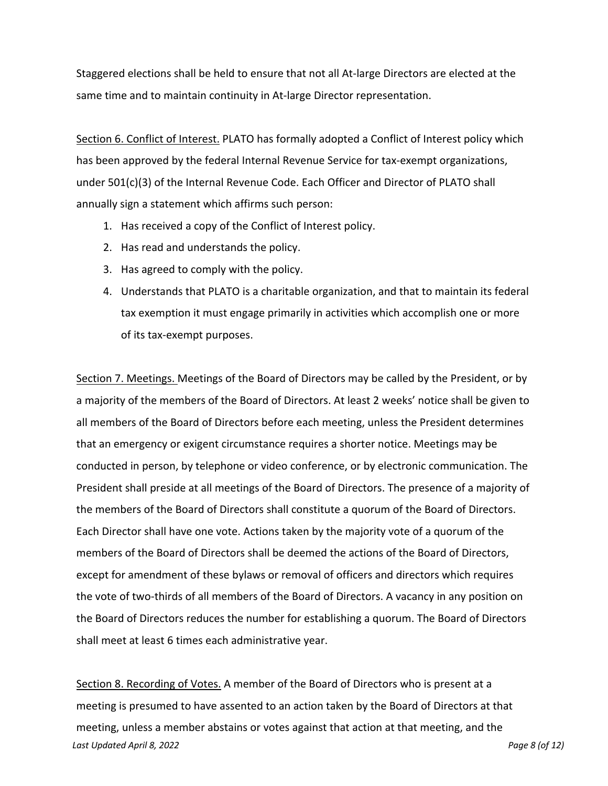Staggered elections shall be held to ensure that not all At-large Directors are elected at the same time and to maintain continuity in At-large Director representation.

Section 6. Conflict of Interest. PLATO has formally adopted a Conflict of Interest policy which has been approved by the federal Internal Revenue Service for tax-exempt organizations, under 501(c)(3) of the Internal Revenue Code. Each Officer and Director of PLATO shall annually sign a statement which affirms such person:

- 1. Has received a copy of the Conflict of Interest policy.
- 2. Has read and understands the policy.
- 3. Has agreed to comply with the policy.
- 4. Understands that PLATO is a charitable organization, and that to maintain its federal tax exemption it must engage primarily in activities which accomplish one or more of its tax-exempt purposes.

Section 7. Meetings. Meetings of the Board of Directors may be called by the President, or by a majority of the members of the Board of Directors. At least 2 weeks' notice shall be given to all members of the Board of Directors before each meeting, unless the President determines that an emergency or exigent circumstance requires a shorter notice. Meetings may be conducted in person, by telephone or video conference, or by electronic communication. The President shall preside at all meetings of the Board of Directors. The presence of a majority of the members of the Board of Directors shall constitute a quorum of the Board of Directors. Each Director shall have one vote. Actions taken by the majority vote of a quorum of the members of the Board of Directors shall be deemed the actions of the Board of Directors, except for amendment of these bylaws or removal of officers and directors which requires the vote of two-thirds of all members of the Board of Directors. A vacancy in any position on the Board of Directors reduces the number for establishing a quorum. The Board of Directors shall meet at least 6 times each administrative year.

*Last Updated April 8, 2022 Page 8 (of 12)* Section 8. Recording of Votes. A member of the Board of Directors who is present at a meeting is presumed to have assented to an action taken by the Board of Directors at that meeting, unless a member abstains or votes against that action at that meeting, and the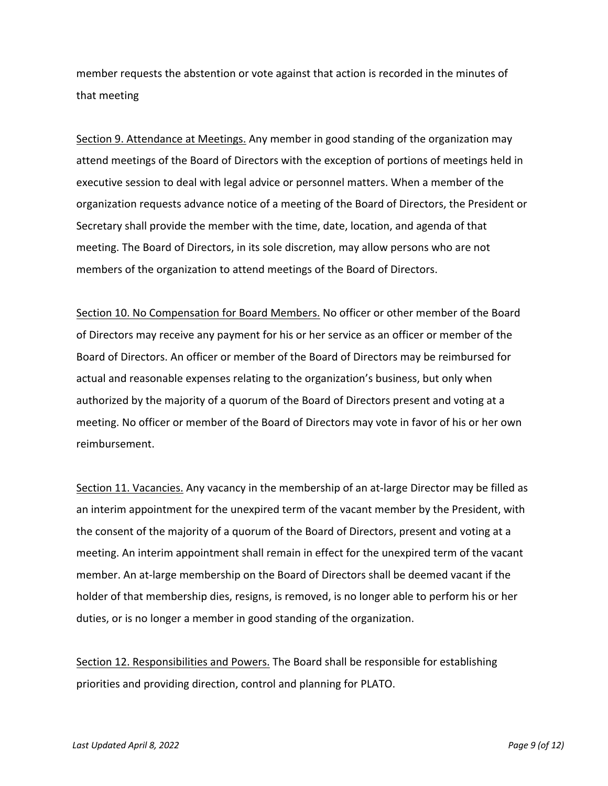member requests the abstention or vote against that action is recorded in the minutes of that meeting

Section 9. Attendance at Meetings. Any member in good standing of the organization may attend meetings of the Board of Directors with the exception of portions of meetings held in executive session to deal with legal advice or personnel matters. When a member of the organization requests advance notice of a meeting of the Board of Directors, the President or Secretary shall provide the member with the time, date, location, and agenda of that meeting. The Board of Directors, in its sole discretion, may allow persons who are not members of the organization to attend meetings of the Board of Directors.

Section 10. No Compensation for Board Members. No officer or other member of the Board of Directors may receive any payment for his or her service as an officer or member of the Board of Directors. An officer or member of the Board of Directors may be reimbursed for actual and reasonable expenses relating to the organization's business, but only when authorized by the majority of a quorum of the Board of Directors present and voting at a meeting. No officer or member of the Board of Directors may vote in favor of his or her own reimbursement.

Section 11. Vacancies. Any vacancy in the membership of an at-large Director may be filled as an interim appointment for the unexpired term of the vacant member by the President, with the consent of the majority of a quorum of the Board of Directors, present and voting at a meeting. An interim appointment shall remain in effect for the unexpired term of the vacant member. An at-large membership on the Board of Directors shall be deemed vacant if the holder of that membership dies, resigns, is removed, is no longer able to perform his or her duties, or is no longer a member in good standing of the organization.

Section 12. Responsibilities and Powers. The Board shall be responsible for establishing priorities and providing direction, control and planning for PLATO.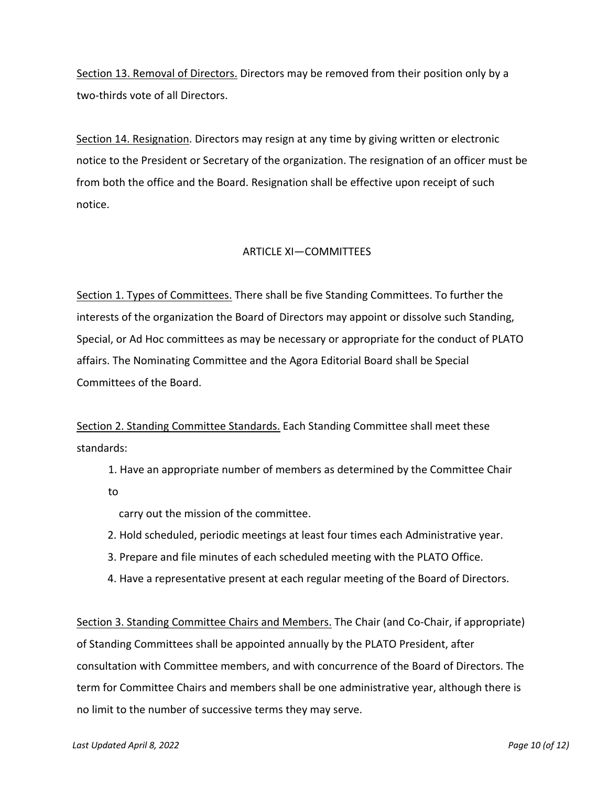Section 13. Removal of Directors. Directors may be removed from their position only by a two-thirds vote of all Directors.

Section 14. Resignation. Directors may resign at any time by giving written or electronic notice to the President or Secretary of the organization. The resignation of an officer must be from both the office and the Board. Resignation shall be effective upon receipt of such notice.

# ARTICLE XI—COMMITTEES

Section 1. Types of Committees. There shall be five Standing Committees. To further the interests of the organization the Board of Directors may appoint or dissolve such Standing, Special, or Ad Hoc committees as may be necessary or appropriate for the conduct of PLATO affairs. The Nominating Committee and the Agora Editorial Board shall be Special Committees of the Board.

Section 2. Standing Committee Standards. Each Standing Committee shall meet these standards:

1. Have an appropriate number of members as determined by the Committee Chair

to

carry out the mission of the committee.

- 2. Hold scheduled, periodic meetings at least four times each Administrative year.
- 3. Prepare and file minutes of each scheduled meeting with the PLATO Office.
- 4. Have a representative present at each regular meeting of the Board of Directors.

Section 3. Standing Committee Chairs and Members. The Chair (and Co-Chair, if appropriate) of Standing Committees shall be appointed annually by the PLATO President, after consultation with Committee members, and with concurrence of the Board of Directors. The term for Committee Chairs and members shall be one administrative year, although there is no limit to the number of successive terms they may serve.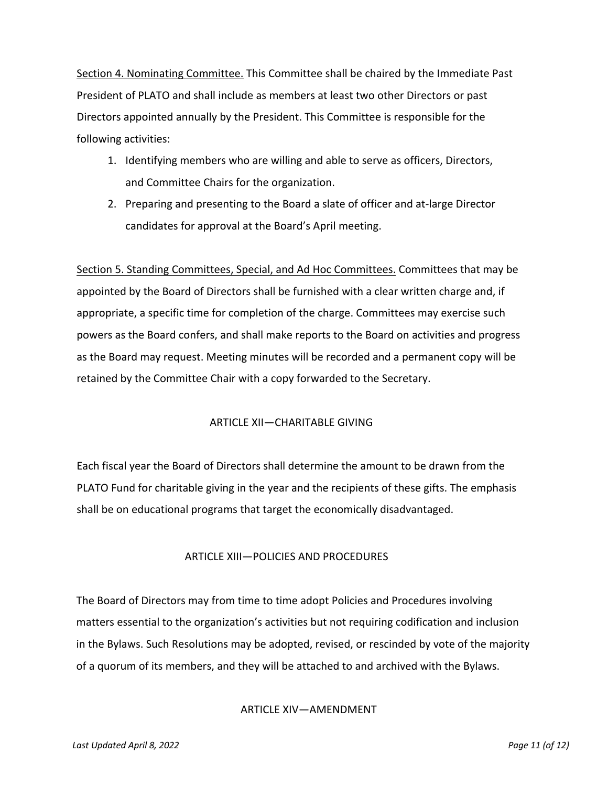Section 4. Nominating Committee. This Committee shall be chaired by the Immediate Past President of PLATO and shall include as members at least two other Directors or past Directors appointed annually by the President. This Committee is responsible for the following activities:

- 1. Identifying members who are willing and able to serve as officers, Directors, and Committee Chairs for the organization.
- 2. Preparing and presenting to the Board a slate of officer and at-large Director candidates for approval at the Board's April meeting.

Section 5. Standing Committees, Special, and Ad Hoc Committees. Committees that may be appointed by the Board of Directors shall be furnished with a clear written charge and, if appropriate, a specific time for completion of the charge. Committees may exercise such powers as the Board confers, and shall make reports to the Board on activities and progress as the Board may request. Meeting minutes will be recorded and a permanent copy will be retained by the Committee Chair with a copy forwarded to the Secretary.

## ARTICLE XII—CHARITABLE GIVING

Each fiscal year the Board of Directors shall determine the amount to be drawn from the PLATO Fund for charitable giving in the year and the recipients of these gifts. The emphasis shall be on educational programs that target the economically disadvantaged.

## ARTICLE XIII—POLICIES AND PROCEDURES

The Board of Directors may from time to time adopt Policies and Procedures involving matters essential to the organization's activities but not requiring codification and inclusion in the Bylaws. Such Resolutions may be adopted, revised, or rescinded by vote of the majority of a quorum of its members, and they will be attached to and archived with the Bylaws.

## ARTICLE XIV—AMENDMENT